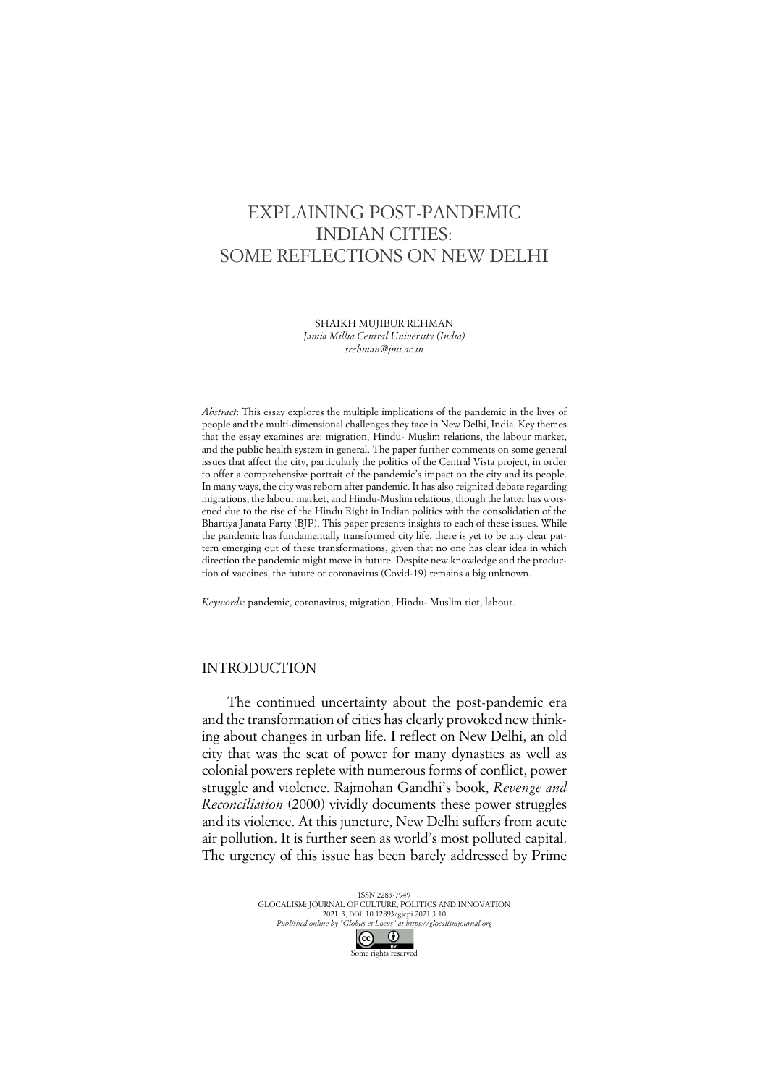# EXPLAINING POST-PANDEMIC INDIAN CITIES: SOME REFLECTIONS ON NEW DELHI

SHAIKH MUJIBUR REHMAN *Jamia Millia Central University (India)*

*srehman@jmi.ac.in*

*Abstract*: This essay explores the multiple implications of the pandemic in the lives of people and the multi-dimensional challenges they face in New Delhi, India. Key themes that the essay examines are: migration, Hindu- Muslim relations, the labour market, and the public health system in general. The paper further comments on some general issues that affect the city, particularly the politics of the Central Vista project, in order to offer a comprehensive portrait of the pandemic's impact on the city and its people. In many ways, the city was reborn after pandemic. It has also reignited debate regarding migrations, the labour market, and Hindu-Muslim relations, though the latter has worsened due to the rise of the Hindu Right in Indian politics with the consolidation of the Bhartiya Janata Party (BJP). This paper presents insights to each of these issues. While the pandemic has fundamentally transformed city life, there is yet to be any clear pattern emerging out of these transformations, given that no one has clear idea in which direction the pandemic might move in future. Despite new knowledge and the production of vaccines, the future of coronavirus (Covid-19) remains a big unknown.

*Keywords*: pandemic, coronavirus, migration, Hindu- Muslim riot, labour.

### INTRODUCTION

The continued uncertainty about the post-pandemic era and the transformation of cities has clearly provoked new thinking about changes in urban life. I reflect on New Delhi, an old city that was the seat of power for many dynasties as well as colonial powers replete with numerous forms of conflict, power struggle and violence. Rajmohan Gandhi's book, *Revenge and Reconciliation* (2000) vividly documents these power struggles and its violence. At this juncture, New Delhi suffers from acute air pollution. It is further seen as world's most polluted capital. The urgency of this issue has been barely addressed by Prime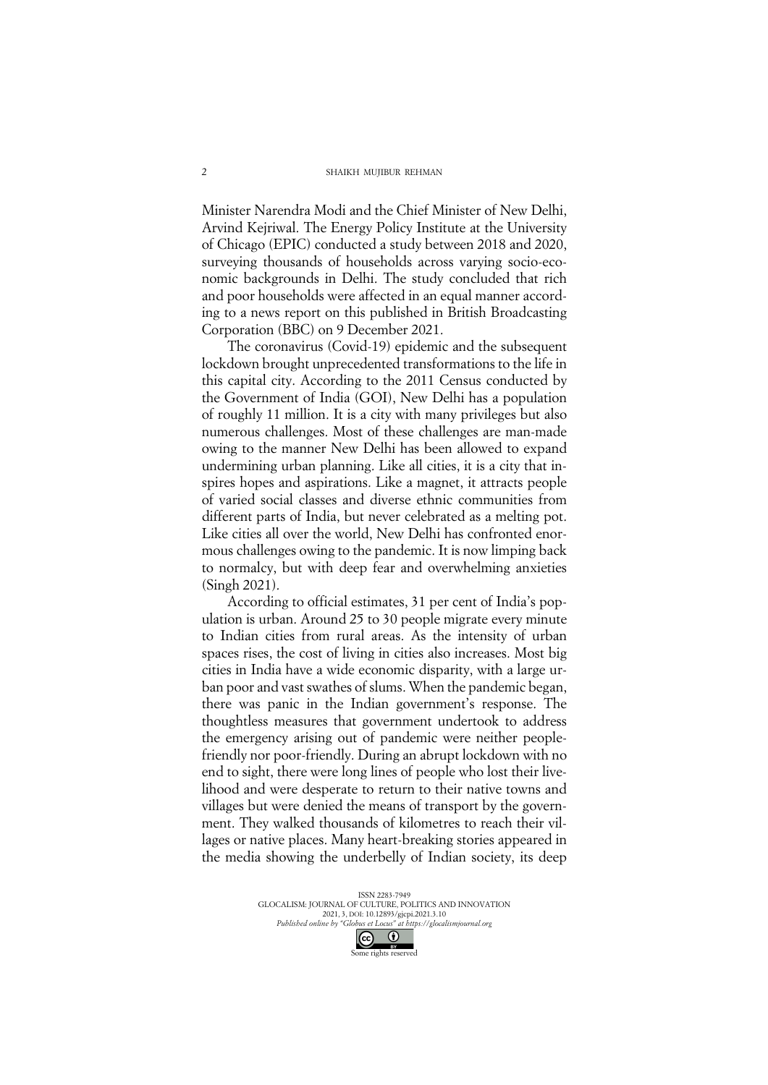Minister Narendra Modi and the Chief Minister of New Delhi, Arvind Kejriwal. The Energy Policy Institute at the University of Chicago (EPIC) conducted a study between 2018 and 2020, surveying thousands of households across varying socio-economic backgrounds in Delhi. The study concluded that rich and poor households were affected in an equal manner according to a news report on this published in British Broadcasting Corporation (BBC) on 9 December 2021.

The coronavirus (Covid-19) epidemic and the subsequent lockdown brought unprecedented transformations to the life in this capital city. According to the 2011 Census conducted by the Government of India (GOI), New Delhi has a population of roughly 11 million. It is a city with many privileges but also numerous challenges. Most of these challenges are man-made owing to the manner New Delhi has been allowed to expand undermining urban planning. Like all cities, it is a city that inspires hopes and aspirations. Like a magnet, it attracts people of varied social classes and diverse ethnic communities from different parts of India, but never celebrated as a melting pot. Like cities all over the world, New Delhi has confronted enormous challenges owing to the pandemic. It is now limping back to normalcy, but with deep fear and overwhelming anxieties (Singh 2021).

According to official estimates, 31 per cent of India's population is urban. Around 25 to 30 people migrate every minute to Indian cities from rural areas. As the intensity of urban spaces rises, the cost of living in cities also increases. Most big cities in India have a wide economic disparity, with a large urban poor and vast swathes of slums. When the pandemic began, there was panic in the Indian government's response. The thoughtless measures that government undertook to address the emergency arising out of pandemic were neither peoplefriendly nor poor-friendly. During an abrupt lockdown with no end to sight, there were long lines of people who lost their livelihood and were desperate to return to their native towns and villages but were denied the means of transport by the government. They walked thousands of kilometres to reach their villages or native places. Many heart-breaking stories appeared in the media showing the underbelly of Indian society, its deep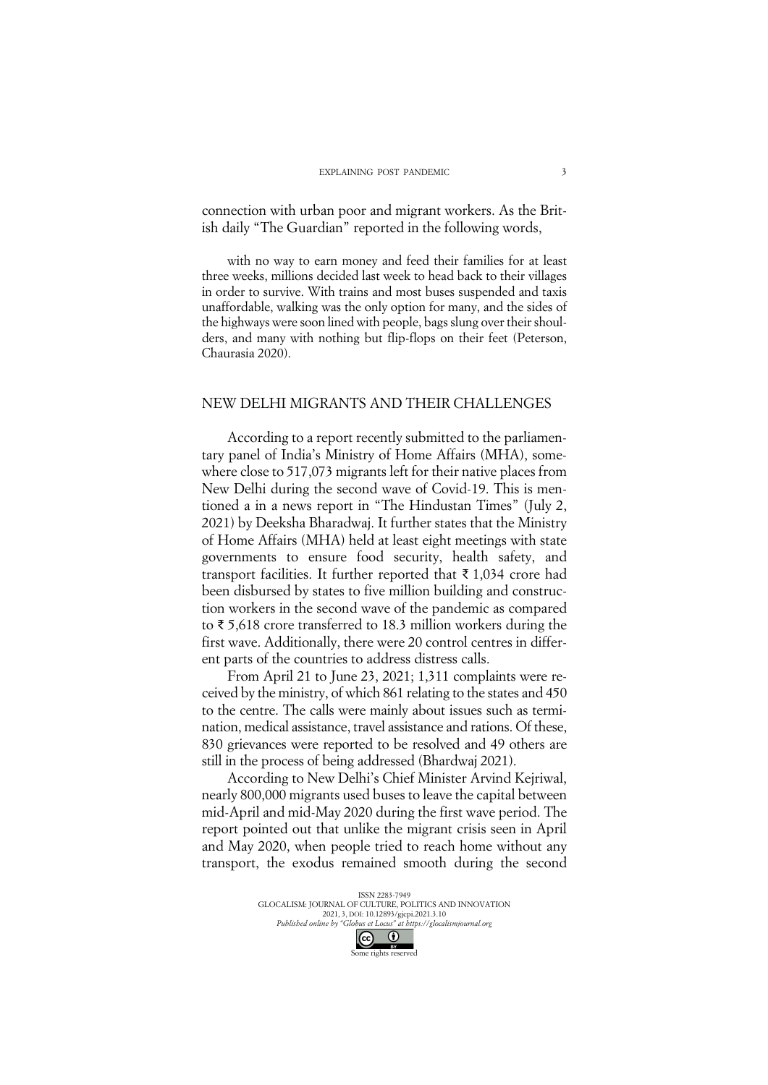connection with urban poor and migrant workers. As the British daily "The Guardian" reported in the following words,

with no way to earn money and feed their families for at least three weeks, millions decided last week to head back to their villages in order to survive. With trains and most buses suspended and taxis unaffordable, walking was the only option for many, and the sides of the highways were soon lined with people, bags slung over their shoulders, and many with nothing but flip-flops on their feet (Peterson, Chaurasia 2020).

### NEW DELHI MIGRANTS AND THEIR CHALLENGES

According to a report recently submitted to the parliamentary panel of India's Ministry of Home Affairs (MHA), somewhere close to 517,073 migrants left for their native places from New Delhi during the second wave of Covid-19. This is mentioned a in a news report in "The Hindustan Times" (July 2, 2021) by Deeksha Bharadwaj. It further states that the Ministry of Home Affairs (MHA) held at least eight meetings with state governments to ensure food security, health safety, and transport facilities. It further reported that ₹ 1,034 crore had been disbursed by states to five million building and construction workers in the second wave of the pandemic as compared to ₹ 5,618 crore transferred to 18.3 million workers during the first wave. Additionally, there were 20 control centres in different parts of the countries to address distress calls.

From April 21 to June 23, 2021; 1,311 complaints were received by the ministry, of which 861 relating to the states and 450 to the centre. The calls were mainly about issues such as termination, medical assistance, travel assistance and rations. Of these, 830 grievances were reported to be resolved and 49 others are still in the process of being addressed (Bhardwaj 2021).

According to New Delhi's Chief Minister Arvind Kejriwal, nearly 800,000 migrants used buses to leave the capital between mid-April and mid-May 2020 during the first wave period. The report pointed out that unlike the migrant crisis seen in April and May 2020, when people tried to reach home without any transport, the exodus remained smooth during the second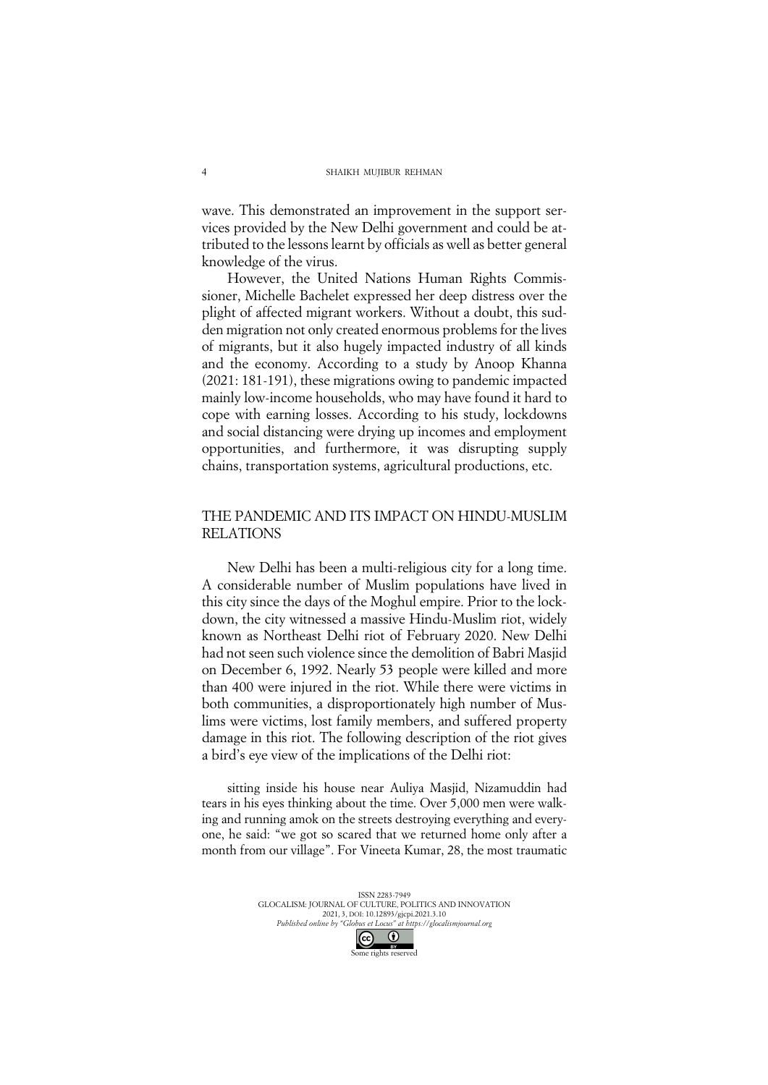wave. This demonstrated an improvement in the support services provided by the New Delhi government and could be attributed to the lessons learnt by officials as well as better general knowledge of the virus.

However, the United Nations Human Rights Commissioner, Michelle Bachelet expressed her deep distress over the plight of affected migrant workers. Without a doubt, this sudden migration not only created enormous problems for the lives of migrants, but it also hugely impacted industry of all kinds and the economy. According to a study by Anoop Khanna (2021: 181-191), these migrations owing to pandemic impacted mainly low-income households, who may have found it hard to cope with earning losses. According to his study, lockdowns and social distancing were drying up incomes and employment opportunities, and furthermore, it was disrupting supply chains, transportation systems, agricultural productions, etc.

## THE PANDEMIC AND ITS IMPACT ON HINDU-MUSLIM RELATIONS

New Delhi has been a multi-religious city for a long time. A considerable number of Muslim populations have lived in this city since the days of the Moghul empire. Prior to the lockdown, the city witnessed a massive Hindu-Muslim riot, widely known as Northeast Delhi riot of February 2020. New Delhi had not seen such violence since the demolition of Babri Masjid on December 6, 1992. Nearly 53 people were killed and more than 400 were injured in the riot. While there were victims in both communities, a disproportionately high number of Muslims were victims, lost family members, and suffered property damage in this riot. The following description of the riot gives a bird's eye view of the implications of the Delhi riot:

sitting inside his house near Auliya Masjid, Nizamuddin had tears in his eyes thinking about the time. Over 5,000 men were walking and running amok on the streets destroying everything and everyone, he said: "we got so scared that we returned home only after a month from our village". For Vineeta Kumar, 28, the most traumatic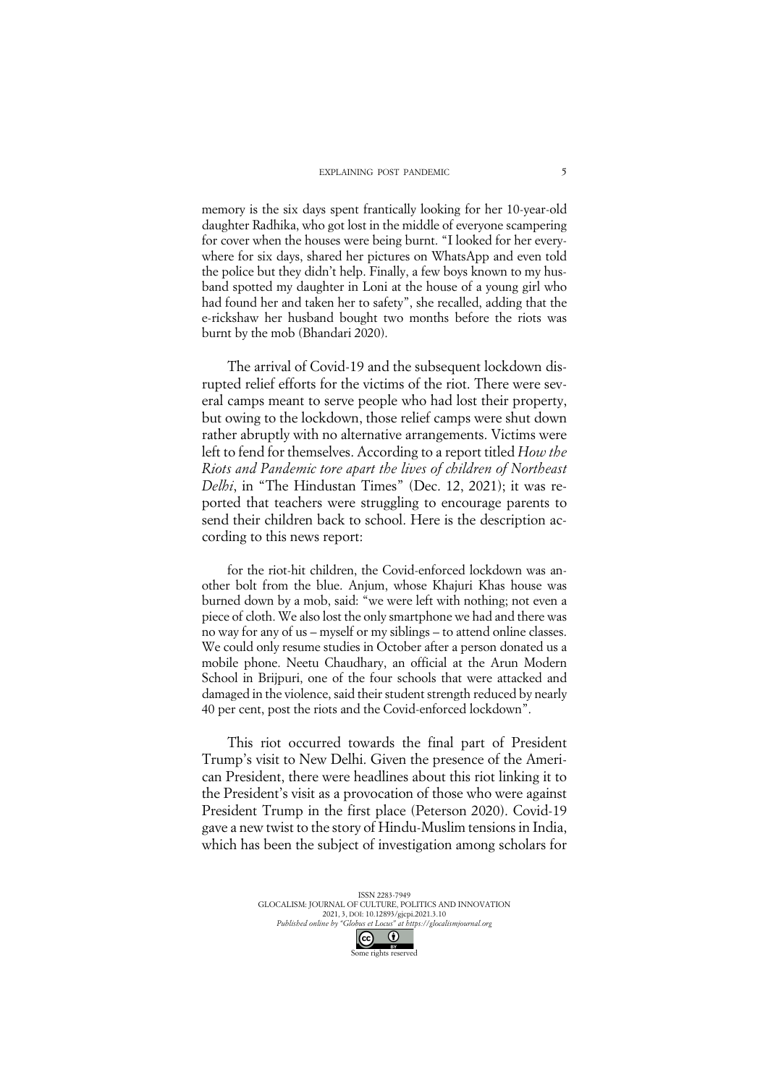memory is the six days spent frantically looking for her 10-year-old daughter Radhika, who got lost in the middle of everyone scampering for cover when the houses were being burnt. "I looked for her everywhere for six days, shared her pictures on WhatsApp and even told the police but they didn't help. Finally, a few boys known to my husband spotted my daughter in Loni at the house of a young girl who had found her and taken her to safety", she recalled, adding that the e-rickshaw her husband bought two months before the riots was burnt by the mob (Bhandari 2020).

The arrival of Covid-19 and the subsequent lockdown disrupted relief efforts for the victims of the riot. There were several camps meant to serve people who had lost their property, but owing to the lockdown, those relief camps were shut down rather abruptly with no alternative arrangements. Victims were left to fend for themselves. According to a report titled *How the Riots and Pandemic tore apart the lives of children of Northeast Delhi*, in "The Hindustan Times" (Dec. 12, 2021); it was reported that teachers were struggling to encourage parents to send their children back to school. Here is the description according to this news report:

for the riot-hit children, the Covid-enforced lockdown was another bolt from the blue. Anjum, whose Khajuri Khas house was burned down by a mob, said: "we were left with nothing; not even a piece of cloth. We also lost the only smartphone we had and there was no way for any of us – myself or my siblings – to attend online classes. We could only resume studies in October after a person donated us a mobile phone. Neetu Chaudhary, an official at the Arun Modern School in Brijpuri, one of the four schools that were attacked and damaged in the violence, said their student strength reduced by nearly 40 per cent, post the riots and the Covid-enforced lockdown".

This riot occurred towards the final part of President Trump's visit to New Delhi. Given the presence of the American President, there were headlines about this riot linking it to the President's visit as a provocation of those who were against President Trump in the first place (Peterson 2020). Covid-19 gave a new twist to the story of Hindu-Muslim tensions in India, which has been the subject of investigation among scholars for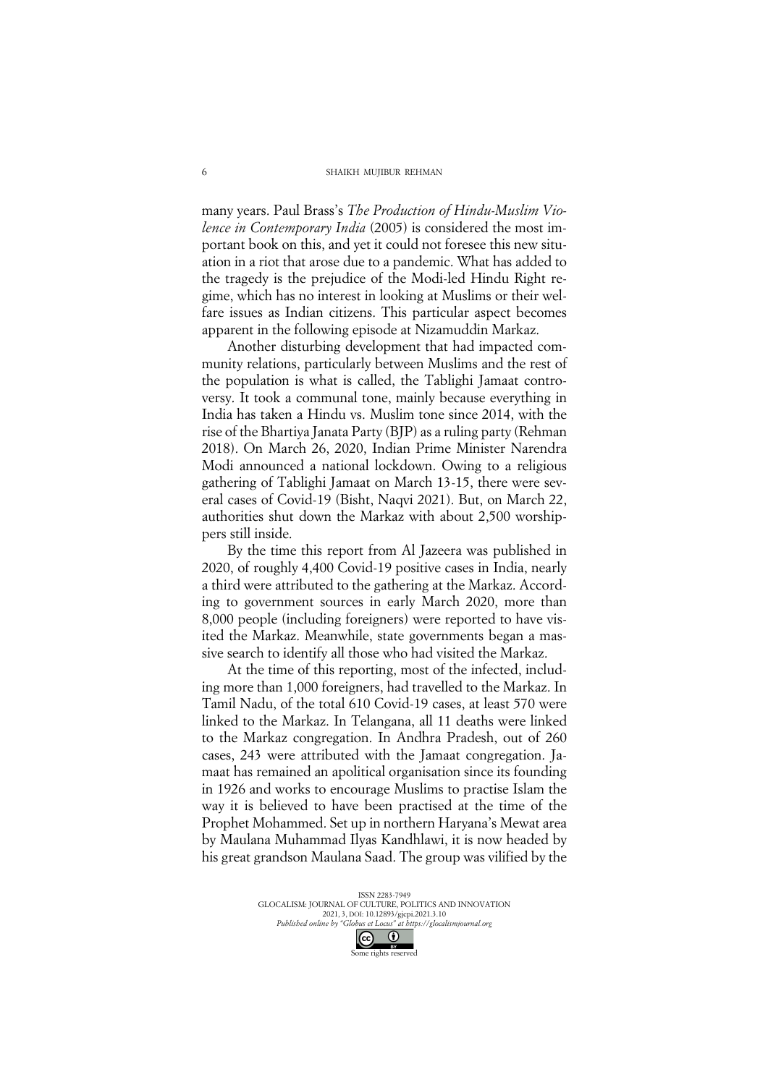many years. Paul Brass's *The Production of Hindu-Muslim Violence in Contemporary India* (2005) is considered the most important book on this, and yet it could not foresee this new situation in a riot that arose due to a pandemic. What has added to the tragedy is the prejudice of the Modi-led Hindu Right regime, which has no interest in looking at Muslims or their welfare issues as Indian citizens. This particular aspect becomes apparent in the following episode at Nizamuddin Markaz.

Another disturbing development that had impacted community relations, particularly between Muslims and the rest of the population is what is called, the Tablighi Jamaat controversy. It took a communal tone, mainly because everything in India has taken a Hindu vs. Muslim tone since 2014, with the rise of the Bhartiya Janata Party (BJP) as a ruling party (Rehman 2018). On March 26, 2020, Indian Prime Minister Narendra Modi announced a national lockdown. Owing to a religious gathering of Tablighi Jamaat on March 13-15, there were several cases of Covid-19 (Bisht, Naqvi 2021). But, on March 22, authorities shut down the Markaz with about 2,500 worshippers still inside.

By the time this report from Al Jazeera was published in 2020, of roughly 4,400 Covid-19 positive cases in India, nearly a third were attributed to the gathering at the Markaz. According to government sources in early March 2020, more than 8,000 people (including foreigners) were reported to have visited the Markaz. Meanwhile, state governments began a massive search to identify all those who had visited the Markaz.

At the time of this reporting, most of the infected, including more than 1,000 foreigners, had travelled to the Markaz. In Tamil Nadu, of the total 610 Covid-19 cases, at least 570 were linked to the Markaz. In Telangana, all 11 deaths were linked to the Markaz congregation. In Andhra Pradesh, out of 260 cases, 243 were attributed with the Jamaat congregation. Jamaat has remained an apolitical organisation since its founding in 1926 and works to encourage Muslims to practise Islam the way it is believed to have been practised at the time of the Prophet Mohammed. Set up in northern Haryana's Mewat area by Maulana Muhammad Ilyas Kandhlawi, it is now headed by his great grandson Maulana Saad. The group was vilified by the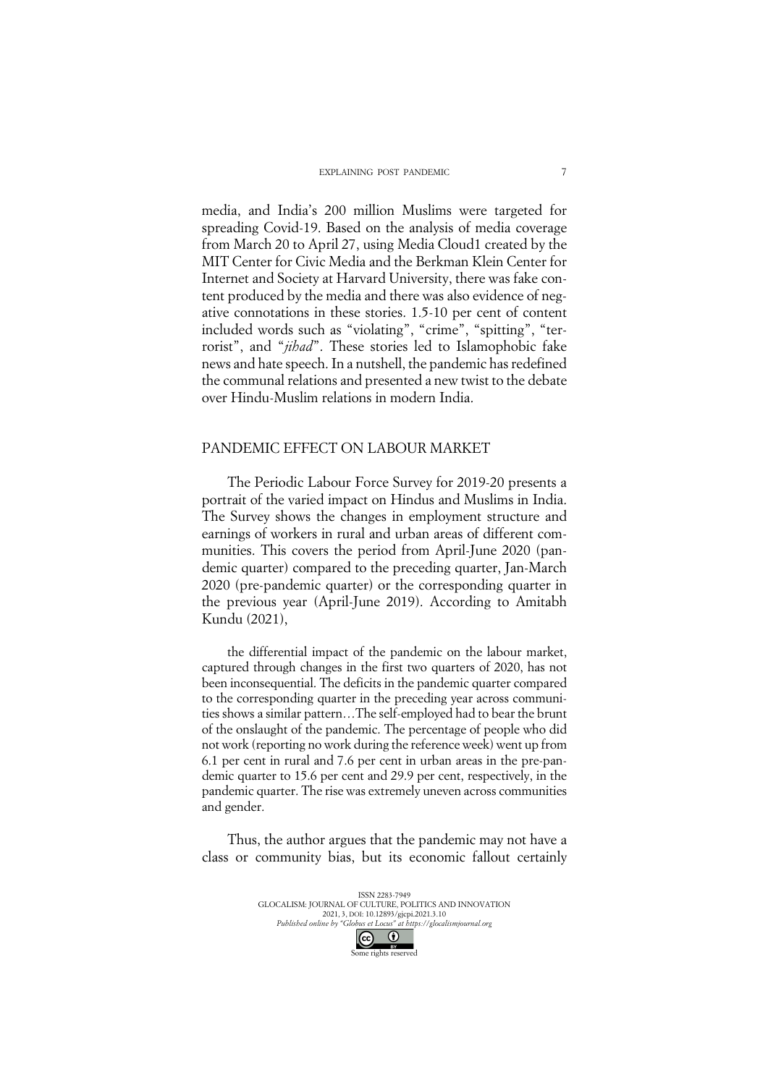media, and India's 200 million Muslims were targeted for spreading Covid-19. Based on the analysis of media coverage from March 20 to April 27, using Media Cloud1 created by the MIT Center for Civic Media and the Berkman Klein Center for Internet and Society at Harvard University, there was fake content produced by the media and there was also evidence of negative connotations in these stories. 1.5-10 per cent of content included words such as "violating", "crime", "spitting", "terrorist", and "*jihad*". These stories led to Islamophobic fake news and hate speech. In a nutshell, the pandemic has redefined the communal relations and presented a new twist to the debate over Hindu-Muslim relations in modern India.

### PANDEMIC EFFECT ON LABOUR MARKET

The Periodic Labour Force Survey for 2019-20 presents a portrait of the varied impact on Hindus and Muslims in India. The Survey shows the changes in employment structure and earnings of workers in rural and urban areas of different communities. This covers the period from April-June 2020 (pandemic quarter) compared to the preceding quarter, Jan-March 2020 (pre-pandemic quarter) or the corresponding quarter in the previous year (April-June 2019). According to Amitabh Kundu (2021),

the differential impact of the pandemic on the labour market, captured through changes in the first two quarters of 2020, has not been inconsequential. The deficits in the pandemic quarter compared to the corresponding quarter in the preceding year across communities shows a similar pattern…The self-employed had to bear the brunt of the onslaught of the pandemic. The percentage of people who did not work (reporting no work during the reference week) went up from 6.1 per cent in rural and 7.6 per cent in urban areas in the pre-pandemic quarter to 15.6 per cent and 29.9 per cent, respectively, in the pandemic quarter. The rise was extremely uneven across communities and gender.

Thus, the author argues that the pandemic may not have a class or community bias, but its economic fallout certainly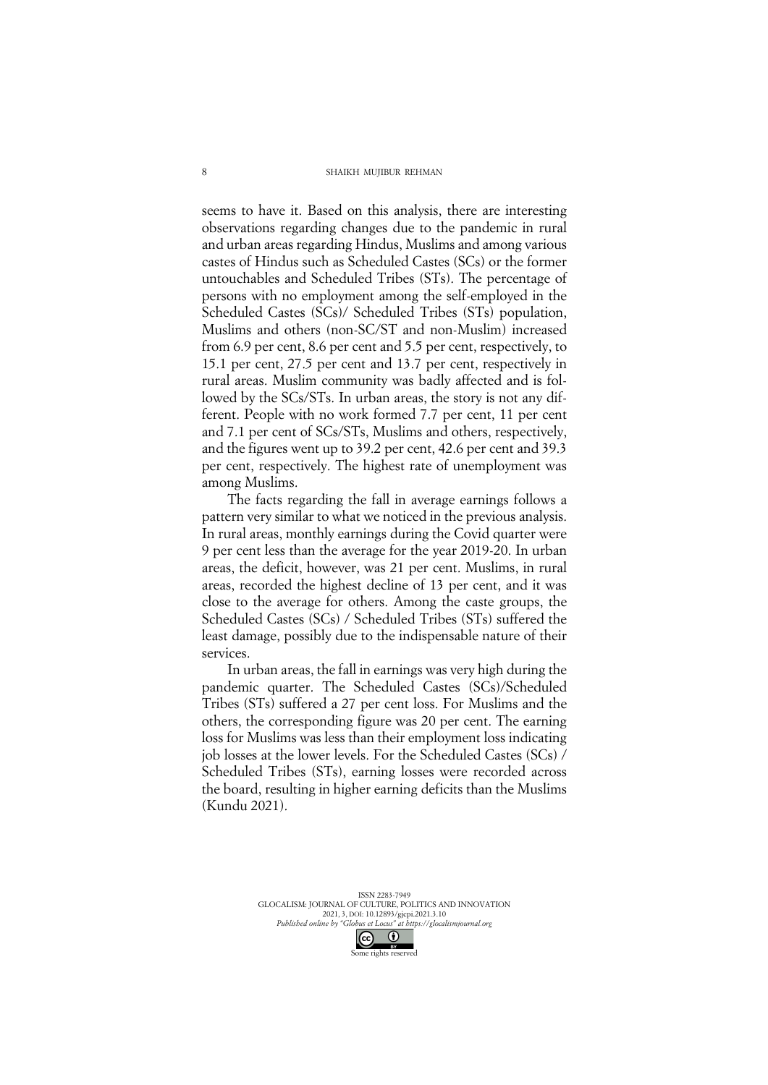#### SHAIKH MUJIBUR REHMAN

seems to have it. Based on this analysis, there are interesting observations regarding changes due to the pandemic in rural and urban areas regarding Hindus, Muslims and among various castes of Hindus such as Scheduled Castes (SCs) or the former untouchables and Scheduled Tribes (STs). The percentage of persons with no employment among the self-employed in the Scheduled Castes (SCs)/ Scheduled Tribes (STs) population, Muslims and others (non-SC/ST and non-Muslim) increased from 6.9 per cent, 8.6 per cent and 5.5 per cent, respectively, to 15.1 per cent, 27.5 per cent and 13.7 per cent, respectively in rural areas. Muslim community was badly affected and is followed by the SCs/STs. In urban areas, the story is not any different. People with no work formed 7.7 per cent, 11 per cent and 7.1 per cent of SCs/STs, Muslims and others, respectively, and the figures went up to 39.2 per cent, 42.6 per cent and 39.3 per cent, respectively. The highest rate of unemployment was among Muslims.

The facts regarding the fall in average earnings follows a pattern very similar to what we noticed in the previous analysis. In rural areas, monthly earnings during the Covid quarter were 9 per cent less than the average for the year 2019-20. In urban areas, the deficit, however, was 21 per cent. Muslims, in rural areas, recorded the highest decline of 13 per cent, and it was close to the average for others. Among the caste groups, the Scheduled Castes (SCs) / Scheduled Tribes (STs) suffered the least damage, possibly due to the indispensable nature of their services.

In urban areas, the fall in earnings was very high during the pandemic quarter. The Scheduled Castes (SCs)/Scheduled Tribes (STs) suffered a 27 per cent loss. For Muslims and the others, the corresponding figure was 20 per cent. The earning loss for Muslims was less than their employment loss indicating job losses at the lower levels. For the Scheduled Castes (SCs) / Scheduled Tribes (STs), earning losses were recorded across the board, resulting in higher earning deficits than the Muslims (Kundu 2021).

> ISSN 2283-7949 GLOCALISM: JOURNAL OF CULTURE, POLITICS AND INNOVATION 2021, 3, DOI: 10.12893/gjcpi.2021.3.10 *Published online by "Globus et Locus" at https://glocalismjournal.org*

> > Some rights reserved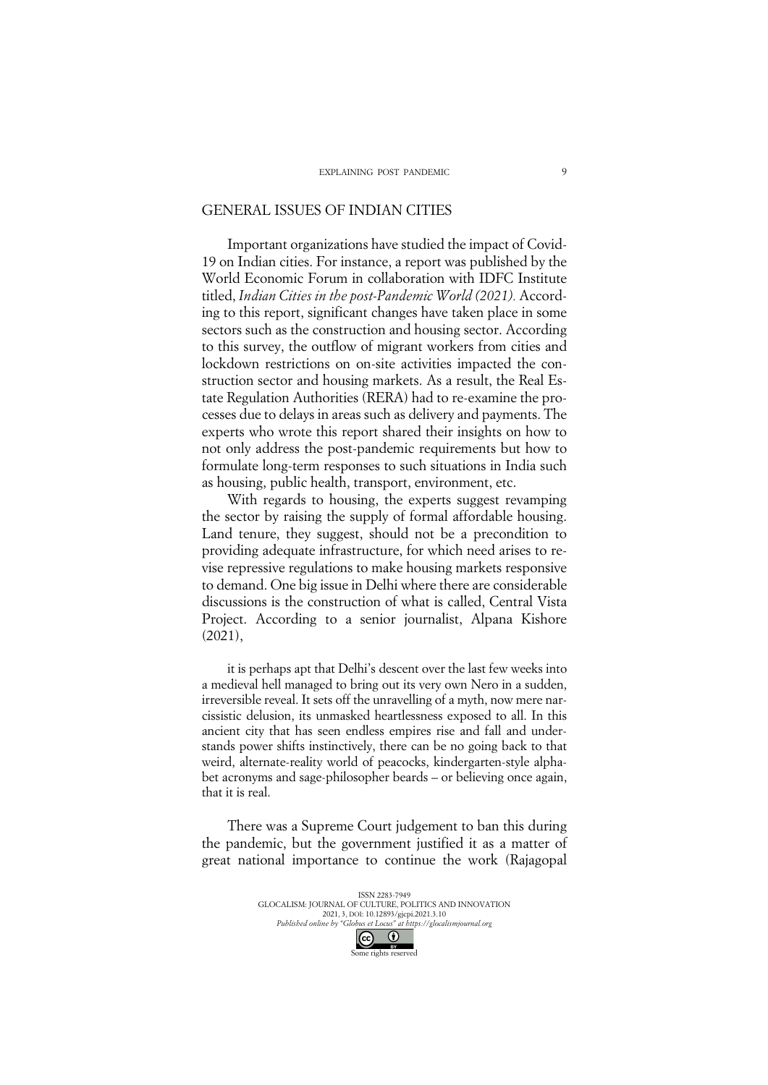### GENERAL ISSUES OF INDIAN CITIES

Important organizations have studied the impact of Covid-19 on Indian cities. For instance, a report was published by the World Economic Forum in collaboration with IDFC Institute titled, *Indian Cities in the post-Pandemic World (2021).* According to this report, significant changes have taken place in some sectors such as the construction and housing sector. According to this survey, the outflow of migrant workers from cities and lockdown restrictions on on-site activities impacted the construction sector and housing markets. As a result, the Real Estate Regulation Authorities (RERA) had to re-examine the processes due to delays in areas such as delivery and payments. The experts who wrote this report shared their insights on how to not only address the post-pandemic requirements but how to formulate long-term responses to such situations in India such as housing, public health, transport, environment, etc.

With regards to housing, the experts suggest revamping the sector by raising the supply of formal affordable housing. Land tenure, they suggest, should not be a precondition to providing adequate infrastructure, for which need arises to revise repressive regulations to make housing markets responsive to demand. One big issue in Delhi where there are considerable discussions is the construction of what is called, Central Vista Project. According to a senior journalist, Alpana Kishore (2021),

it is perhaps apt that Delhi's descent over the last few weeks into a medieval hell managed to bring out its very own Nero in a sudden, irreversible reveal. It sets off the unravelling of a myth, now mere narcissistic delusion, its unmasked heartlessness exposed to all. In this ancient city that has seen endless empires rise and fall and understands power shifts instinctively, there can be no going back to that weird, alternate-reality world of peacocks, kindergarten-style alphabet acronyms and sage-philosopher beards – or believing once again, that it is real.

There was a Supreme Court judgement to ban this during the pandemic, but the government justified it as a matter of great national importance to continue the work (Rajagopal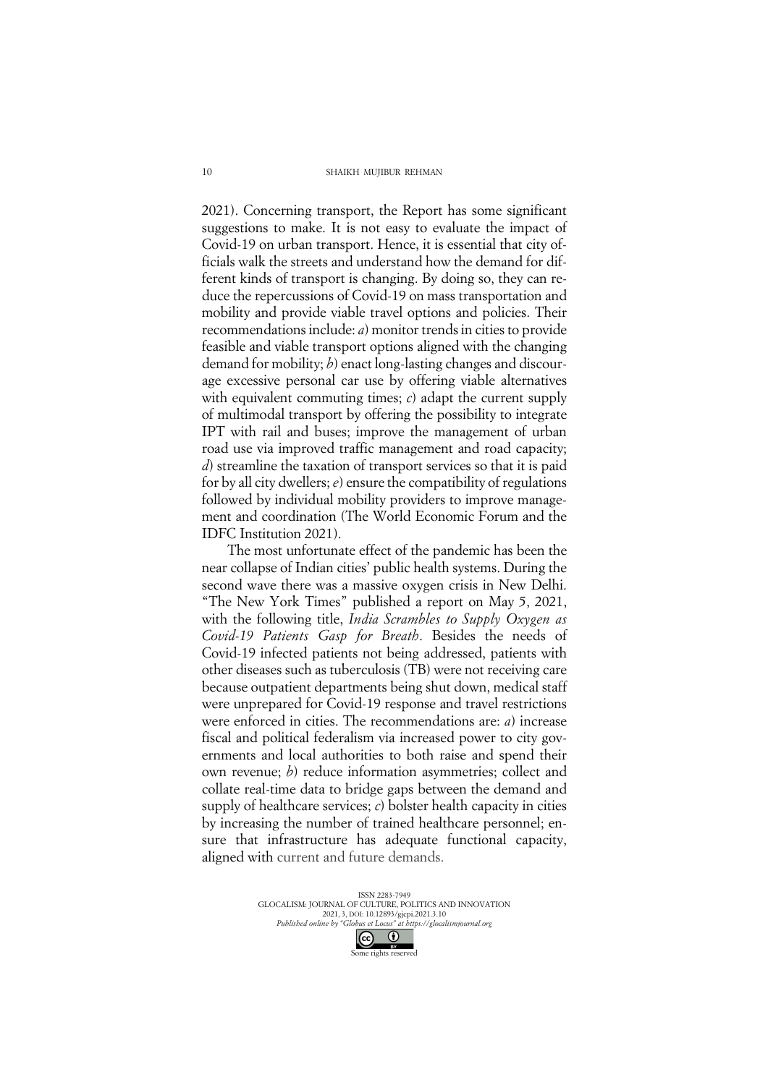#### SHAIKH MUJIBUR REHMAN

2021). Concerning transport, the Report has some significant suggestions to make. It is not easy to evaluate the impact of Covid-19 on urban transport. Hence, it is essential that city officials walk the streets and understand how the demand for different kinds of transport is changing. By doing so, they can reduce the repercussions of Covid-19 on mass transportation and mobility and provide viable travel options and policies. Their recommendations include: *a*) monitor trends in cities to provide feasible and viable transport options aligned with the changing demand for mobility; *b*) enact long-lasting changes and discourage excessive personal car use by offering viable alternatives with equivalent commuting times; *c*) adapt the current supply of multimodal transport by offering the possibility to integrate IPT with rail and buses; improve the management of urban road use via improved traffic management and road capacity; *d*) streamline the taxation of transport services so that it is paid for by all city dwellers; *e*) ensure the compatibility of regulations followed by individual mobility providers to improve management and coordination (The World Economic Forum and the IDFC Institution 2021).

The most unfortunate effect of the pandemic has been the near collapse of Indian cities' public health systems. During the second wave there was a massive oxygen crisis in New Delhi. "The New York Times" published a report on May 5, 2021, with the following title, *India Scrambles to Supply Oxygen as Covid-19 Patients Gasp for Breath*. Besides the needs of Covid-19 infected patients not being addressed, patients with other diseases such as tuberculosis (TB) were not receiving care because outpatient departments being shut down, medical staff were unprepared for Covid-19 response and travel restrictions were enforced in cities. The recommendations are: *a*) increase fiscal and political federalism via increased power to city governments and local authorities to both raise and spend their own revenue; *b*) reduce information asymmetries; collect and collate real-time data to bridge gaps between the demand and supply of healthcare services; *c*) bolster health capacity in cities by increasing the number of trained healthcare personnel; ensure that infrastructure has adequate functional capacity, aligned with current and future demands.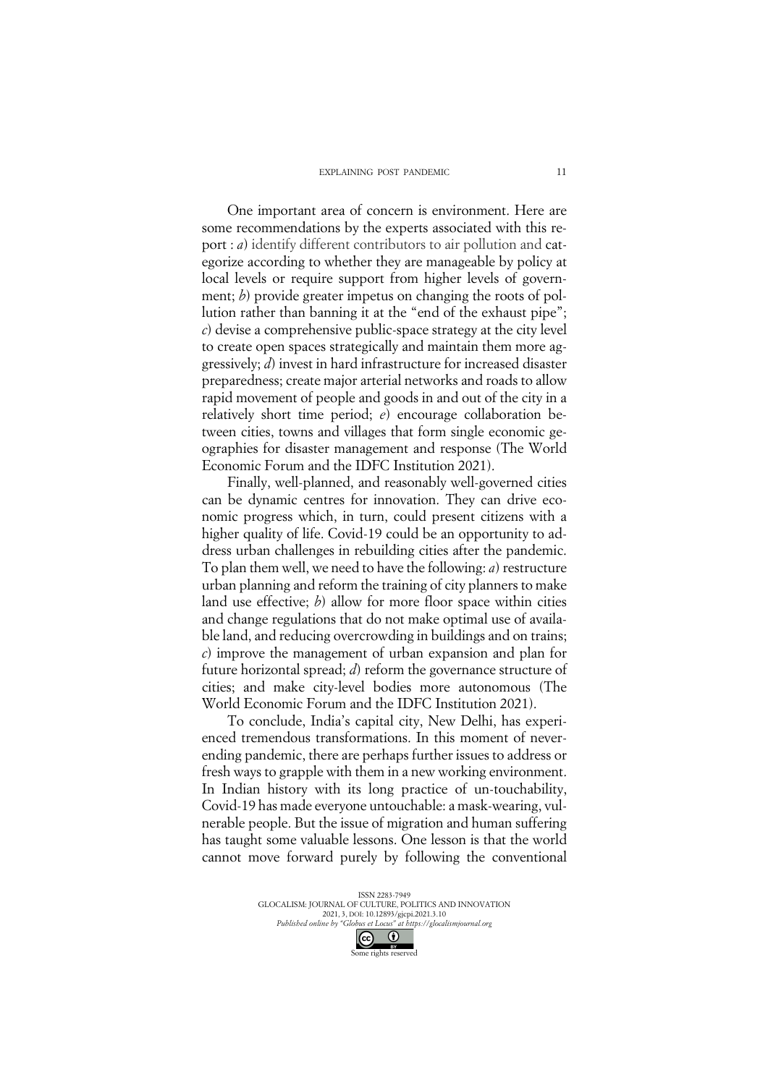One important area of concern is environment. Here are some recommendations by the experts associated with this report : *a*) identify different contributors to air pollution and categorize according to whether they are manageable by policy at local levels or require support from higher levels of government; *b*) provide greater impetus on changing the roots of pollution rather than banning it at the "end of the exhaust pipe"; *c*) devise a comprehensive public-space strategy at the city level to create open spaces strategically and maintain them more aggressively; *d*) invest in hard infrastructure for increased disaster preparedness; create major arterial networks and roads to allow rapid movement of people and goods in and out of the city in a relatively short time period; *e*) encourage collaboration between cities, towns and villages that form single economic geographies for disaster management and response (The World Economic Forum and the IDFC Institution 2021).

Finally, well-planned, and reasonably well-governed cities can be dynamic centres for innovation. They can drive economic progress which, in turn, could present citizens with a higher quality of life. Covid-19 could be an opportunity to address urban challenges in rebuilding cities after the pandemic. To plan them well, we need to have the following: *a*) restructure urban planning and reform the training of city planners to make land use effective; *b*) allow for more floor space within cities and change regulations that do not make optimal use of available land, and reducing overcrowding in buildings and on trains; *c*) improve the management of urban expansion and plan for future horizontal spread; *d*) reform the governance structure of cities; and make city-level bodies more autonomous (The World Economic Forum and the IDFC Institution 2021).

To conclude, India's capital city, New Delhi, has experienced tremendous transformations. In this moment of neverending pandemic, there are perhaps further issues to address or fresh ways to grapple with them in a new working environment. In Indian history with its long practice of un-touchability, Covid-19 has made everyone untouchable: a mask-wearing, vulnerable people. But the issue of migration and human suffering has taught some valuable lessons. One lesson is that the world cannot move forward purely by following the conventional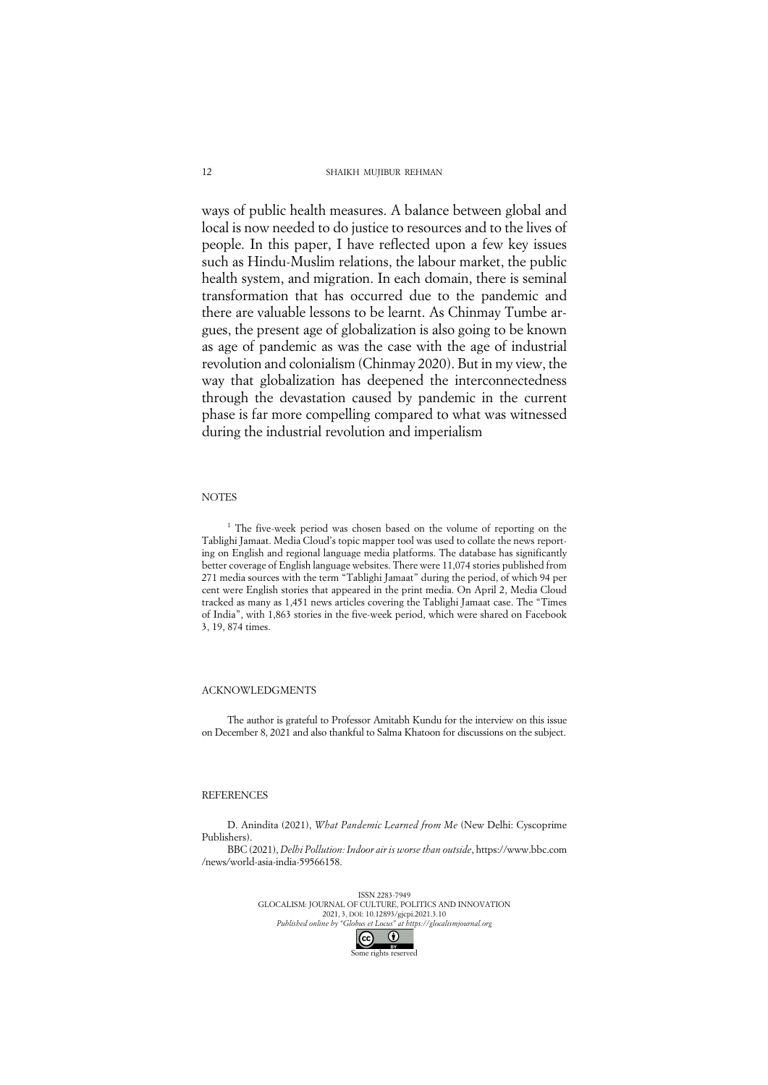#### SHAIKH MUJIBUR REHMAN

ways of public health measures. A balance between global and local is now needed to do justice to resources and to the lives of people. In this paper, I have reflected upon a few key issues such as Hindu-Muslim relations, the labour market, the public health system, and migration. In each domain, there is seminal transformation that has occurred due to the pandemic and there are valuable lessons to be learnt. As Chinmay Tumbe argues, the present age of globalization is also going to be known as age of pandemic as was the case with the age of industrial revolution and colonialism (Chinmay 2020). But in my view, the way that globalization has deepened the interconnectedness through the devastation caused by pandemic in the current phase is far more compelling compared to what was witnessed during the industrial revolution and imperialism

### **NOTES**

<sup>1</sup> The five-week period was chosen based on the volume of reporting on the Tablighi Jamaat. Media Cloud's topic mapper tool was used to collate the news reporting on English and regional language media platforms. The database has significantly better coverage of English language websites. There were 11,074 stories published from 271 media sources with the term "Tablighi Jamaat" during the period, of which 94 per cent were English stories that appeared in the print media. On April 2, Media Cloud tracked as many as 1,451 news articles covering the Tablighi Jamaat case. The "Times of India", with 1,863 stories in the five-week period, which were shared on Facebook 3, 19, 874 times.

#### ACKNOWLEDGMENTS

The author is grateful to Professor Amitabh Kundu for the interview on this issue on December 8, 2021 and also thankful to Salma Khatoon for discussions on the subject.

### REFERENCES

D. Anindita (2021), *What Pandemic Learned from Me* (New Delhi: Cyscoprime Publishers).

BBC (2021), *Delhi Pollution: Indoor air is worse than outside*, https://www.bbc.com /news/world-asia-india-59566158.

> ISSN 2283-7949 GLOCALISM: JOURNAL OF CULTURE, POLITICS AND INNOVATION 2021, 3, DOI: 10.12893/gjcpi.2021.3.10 *Published online by "Globus et Locus" at https://glocalismjournal.org*  $\overline{\mathcal{C}}$  $\bullet$

Some rights reserved